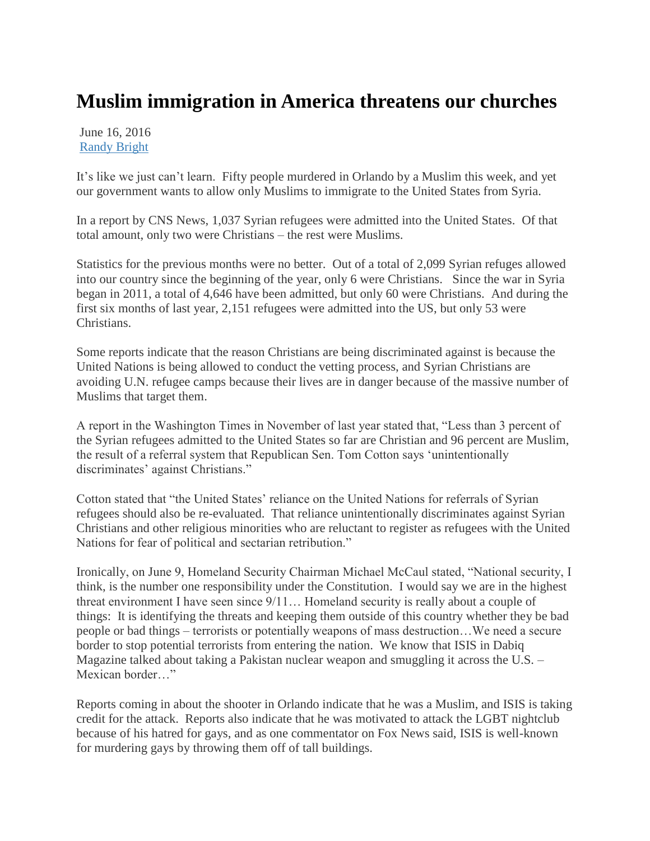## **Muslim immigration in America threatens our churches**

June 16, 2016 [Randy Bright](http://tulsabeacon.com/author/randy-bright/)

It"s like we just can"t learn. Fifty people murdered in Orlando by a Muslim this week, and yet our government wants to allow only Muslims to immigrate to the United States from Syria.

In a report by CNS News, 1,037 Syrian refugees were admitted into the United States. Of that total amount, only two were Christians – the rest were Muslims.

Statistics for the previous months were no better. Out of a total of 2,099 Syrian refuges allowed into our country since the beginning of the year, only 6 were Christians. Since the war in Syria began in 2011, a total of 4,646 have been admitted, but only 60 were Christians. And during the first six months of last year, 2,151 refugees were admitted into the US, but only 53 were Christians.

Some reports indicate that the reason Christians are being discriminated against is because the United Nations is being allowed to conduct the vetting process, and Syrian Christians are avoiding U.N. refugee camps because their lives are in danger because of the massive number of Muslims that target them.

A report in the Washington Times in November of last year stated that, "Less than 3 percent of the Syrian refugees admitted to the United States so far are Christian and 96 percent are Muslim, the result of a referral system that Republican Sen. Tom Cotton says "unintentionally discriminates' against Christians."

Cotton stated that "the United States" reliance on the United Nations for referrals of Syrian refugees should also be re-evaluated. That reliance unintentionally discriminates against Syrian Christians and other religious minorities who are reluctant to register as refugees with the United Nations for fear of political and sectarian retribution."

Ironically, on June 9, Homeland Security Chairman Michael McCaul stated, "National security, I think, is the number one responsibility under the Constitution. I would say we are in the highest threat environment I have seen since 9/11… Homeland security is really about a couple of things: It is identifying the threats and keeping them outside of this country whether they be bad people or bad things – terrorists or potentially weapons of mass destruction…We need a secure border to stop potential terrorists from entering the nation. We know that ISIS in Dabiq Magazine talked about taking a Pakistan nuclear weapon and smuggling it across the U.S. – Mexican border…"

Reports coming in about the shooter in Orlando indicate that he was a Muslim, and ISIS is taking credit for the attack. Reports also indicate that he was motivated to attack the LGBT nightclub because of his hatred for gays, and as one commentator on Fox News said, ISIS is well-known for murdering gays by throwing them off of tall buildings.